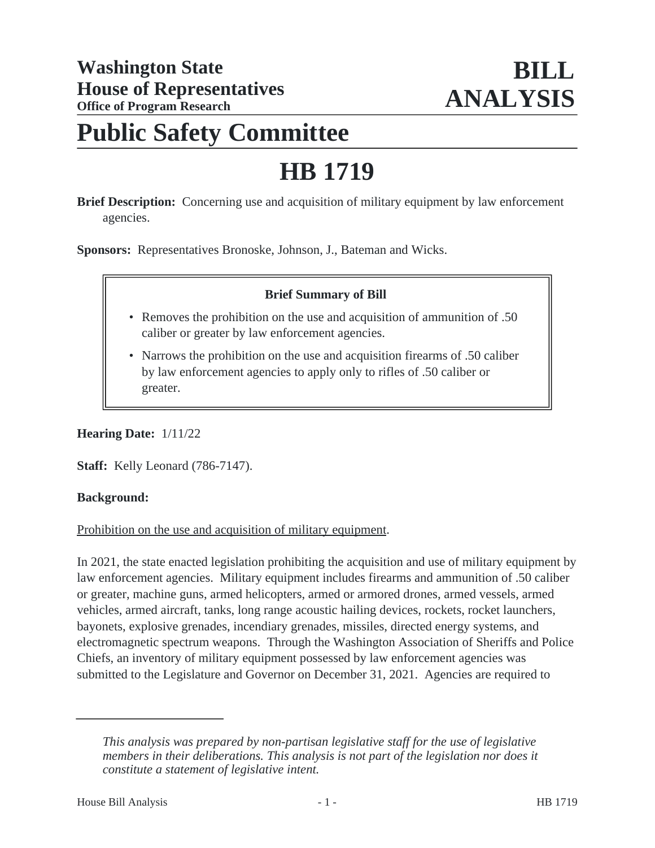# **Public Safety Committee**

# **HB 1719**

**Brief Description:** Concerning use and acquisition of military equipment by law enforcement agencies.

**Sponsors:** Representatives Bronoske, Johnson, J., Bateman and Wicks.

#### **Brief Summary of Bill**

- Removes the prohibition on the use and acquisition of ammunition of .50 caliber or greater by law enforcement agencies.
- Narrows the prohibition on the use and acquisition firearms of .50 caliber by law enforcement agencies to apply only to rifles of .50 caliber or greater.

**Hearing Date:** 1/11/22

**Staff:** Kelly Leonard (786-7147).

#### **Background:**

Prohibition on the use and acquisition of military equipment.

In 2021, the state enacted legislation prohibiting the acquisition and use of military equipment by law enforcement agencies. Military equipment includes firearms and ammunition of .50 caliber or greater, machine guns, armed helicopters, armed or armored drones, armed vessels, armed vehicles, armed aircraft, tanks, long range acoustic hailing devices, rockets, rocket launchers, bayonets, explosive grenades, incendiary grenades, missiles, directed energy systems, and electromagnetic spectrum weapons. Through the Washington Association of Sheriffs and Police Chiefs, an inventory of military equipment possessed by law enforcement agencies was submitted to the Legislature and Governor on December 31, 2021. Agencies are required to

*This analysis was prepared by non-partisan legislative staff for the use of legislative members in their deliberations. This analysis is not part of the legislation nor does it constitute a statement of legislative intent.*